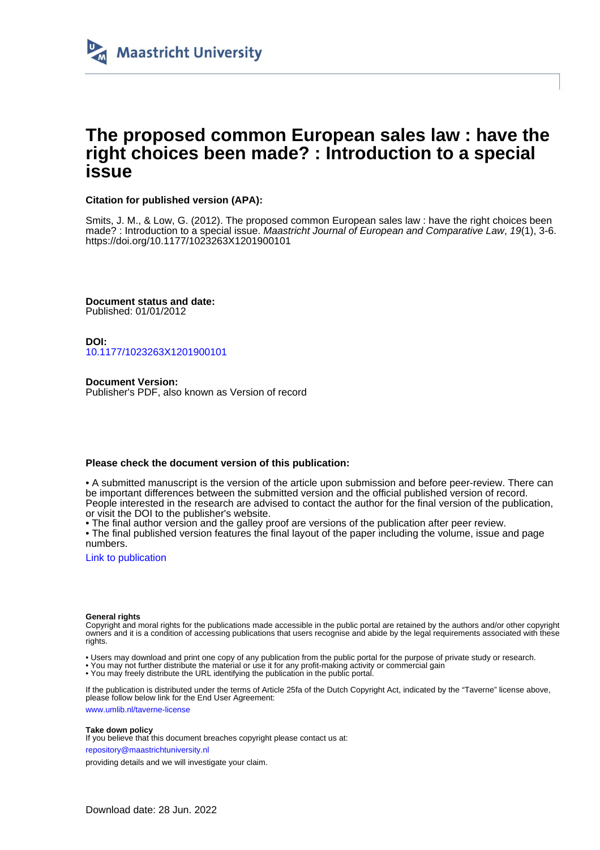

# **The proposed common European sales law : have the right choices been made? : Introduction to a special issue**

### **Citation for published version (APA):**

Smits, J. M., & Low, G. (2012). The proposed common European sales law : have the right choices been made? : Introduction to a special issue. Maastricht Journal of European and Comparative Law, 19(1), 3-6. <https://doi.org/10.1177/1023263X1201900101>

**Document status and date:** Published: 01/01/2012

**DOI:** [10.1177/1023263X1201900101](https://doi.org/10.1177/1023263X1201900101)

**Document Version:** Publisher's PDF, also known as Version of record

### **Please check the document version of this publication:**

• A submitted manuscript is the version of the article upon submission and before peer-review. There can be important differences between the submitted version and the official published version of record. People interested in the research are advised to contact the author for the final version of the publication, or visit the DOI to the publisher's website.

• The final author version and the galley proof are versions of the publication after peer review.

• The final published version features the final layout of the paper including the volume, issue and page numbers.

[Link to publication](https://cris.maastrichtuniversity.nl/en/publications/0f5dc886-bc05-4cd8-8c63-ed646599d294)

### **General rights**

Copyright and moral rights for the publications made accessible in the public portal are retained by the authors and/or other copyright owners and it is a condition of accessing publications that users recognise and abide by the legal requirements associated with these rights.

- Users may download and print one copy of any publication from the public portal for the purpose of private study or research.
- You may not further distribute the material or use it for any profit-making activity or commercial gain
- You may freely distribute the URL identifying the publication in the public portal.

If the publication is distributed under the terms of Article 25fa of the Dutch Copyright Act, indicated by the "Taverne" license above, please follow below link for the End User Agreement:

www.umlib.nl/taverne-license

### **Take down policy**

If you believe that this document breaches copyright please contact us at:

repository@maastrichtuniversity.nl

providing details and we will investigate your claim.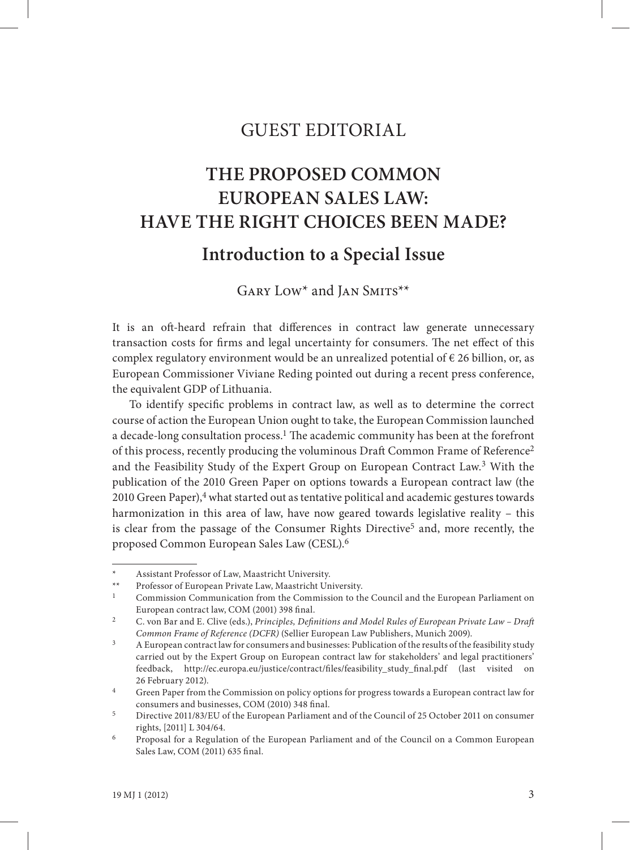## GUEST EDITORIAL

# **THE PROPOSED COMMON EUROPEAN SALES LAW: HAVE THE RIGHT CHOICES BEEN MADE?**

## **Introduction to a Special Issue**

GARY LOW<sup>\*</sup> and JAN SMITS<sup>\*\*</sup>

It is an oft-heard refrain that differences in contract law generate unnecessary transaction costs for firms and legal uncertainty for consumers. The net effect of this complex regulatory environment would be an unrealized potential of  $\epsilon$  26 billion, or, as European Commissioner Viviane Reding pointed out during a recent press conference, the equivalent GDP of Lithuania.

To identify specific problems in contract law, as well as to determine the correct course of action the European Union ought to take, the European Commission launched a decade-long consultation process.<sup>1</sup> The academic community has been at the forefront of this process, recently producing the voluminous Draft Common Frame of Reference2 and the Feasibility Study of the Expert Group on European Contract Law.3 With the publication of the 2010 Green Paper on options towards a European contract law (the 2010 Green Paper),4 what started out as tentative political and academic gestures towards harmonization in this area of law, have now geared towards legislative reality – this is clear from the passage of the Consumer Rights Directive<sup>5</sup> and, more recently, the proposed Common European Sales Law (CESL).6

Assistant Professor of Law, Maastricht University.

<sup>\*\*</sup> Professor of European Private Law, Maastricht University.

<sup>1</sup> Commission Communication from the Commission to the Council and the European Parliament on European contract law, COM (2001) 398 final.

<sup>&</sup>lt;sup>2</sup> C. von Bar and E. Clive (eds.), *Principles, Definitions and Model Rules of European Private Law - Draft Common Frame of Reference (DCFR)* (Sellier European Law Publishers, Munich 2009).

<sup>&</sup>lt;sup>3</sup> A European contract law for consumers and businesses: Publication of the results of the feasibility study carried out by the Expert Group on European contract law for stakeholders' and legal practitioners' feedback, http://ec.europa.eu/justice/contract/files/feasibility\_study\_final.pdf (last visited on 26 February 2012).

<sup>4</sup> Green Paper from the Commission on policy options for progress towards a European contract law for consumers and businesses, COM (2010) 348 final.

<sup>5</sup> Directive 2011/83/EU of the European Parliament and of the Council of 25 October 2011 on consumer rights, [2011] L 304/64.

<sup>6</sup> Proposal for a Regulation of the European Parliament and of the Council on a Common European Sales Law, COM (2011) 635 final.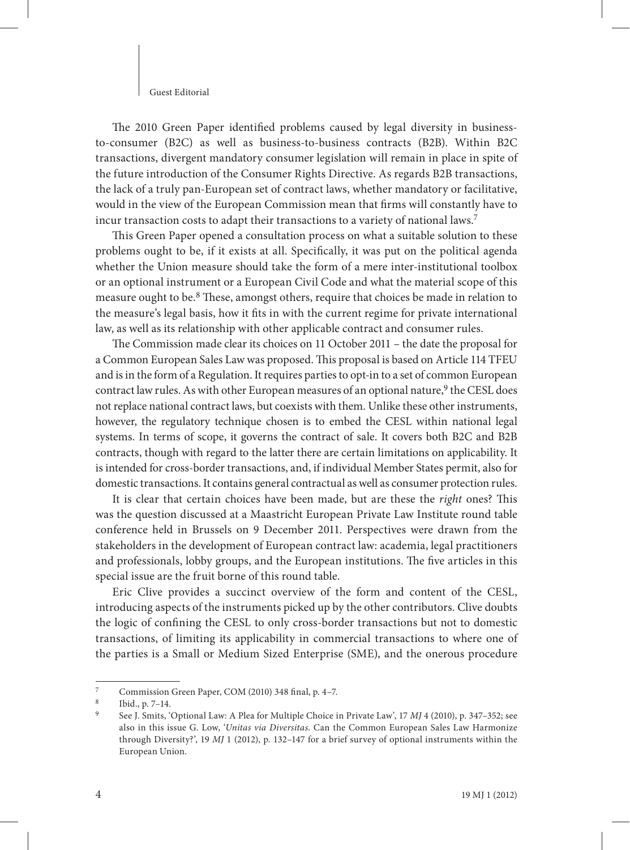#### Guest Editorial

The 2010 Green Paper identified problems caused by legal diversity in businessto-consumer (B2C) as well as business-to-business contracts (B2B). Within B2C transactions, divergent mandatory consumer legislation will remain in place in spite of the future introduction of the Consumer Rights Directive. As regards B2B transactions, the lack of a truly pan-European set of contract laws, whether mandatory or facilitative, would in the view of the European Commission mean that firms will constantly have to incur transaction costs to adapt their transactions to a variety of national laws.7

This Green Paper opened a consultation process on what a suitable solution to these problems ought to be, if it exists at all. Specifically, it was put on the political agenda whether the Union measure should take the form of a mere inter-institutional toolbox or an optional instrument or a European Civil Code and what the material scope of this measure ought to be.<sup>8</sup> These, amongst others, require that choices be made in relation to the measure's legal basis, how it fits in with the current regime for private international law, as well as its relationship with other applicable contract and consumer rules.

The Commission made clear its choices on 11 October 2011 – the date the proposal for a Common European Sales Law was proposed. This proposal is based on Article 114 TFEU and is in the form of a Regulation. It requires parties to opt-in to a set of common European contract law rules. As with other European measures of an optional nature,<sup>9</sup> the CESL does not replace national contract laws, but coexists with them. Unlike these other instruments, however, the regulatory technique chosen is to embed the CESL within national legal systems. In terms of scope, it governs the contract of sale. It covers both B2C and B2B contracts, though with regard to the latter there are certain limitations on applicability. It is intended for cross-border transactions, and, if individual Member States permit, also for domestic transactions. It contains general contractual as well as consumer protection rules.

It is clear that certain choices have been made, but are these the *right* ones? This was the question discussed at a Maastricht European Private Law Institute round table conference held in Brussels on 9 December 2011. Perspectives were drawn from the stakeholders in the development of European contract law: academia, legal practitioners and professionals, lobby groups, and the European institutions. The five articles in this special issue are the fruit borne of this round table.

Eric Clive provides a succinct overview of the form and content of the CESL, introducing aspects of the instruments picked up by the other contributors. Clive doubts the logic of confining the CESL to only cross-border transactions but not to domestic transactions, of limiting its applicability in commercial transactions to where one of the parties is a Small or Medium Sized Enterprise (SME), and the onerous procedure

Commission Green Paper, COM (2010) 348 final, p. 4-7.

<sup>8</sup> Ibid., p. 7–14.

<sup>9</sup> See J. Smits, 'Optional Law: A Plea for Multiple Choice in Private Law', 17 *MJ* 4 (2010), p. 347–352; see also in this issue G. Low, '*Unitas via Diversitas*. Can the Common European Sales Law Harmonize through Diversity?', 19 *MJ* 1 (2012), p. 132–147 for a brief survey of optional instruments within the European Union.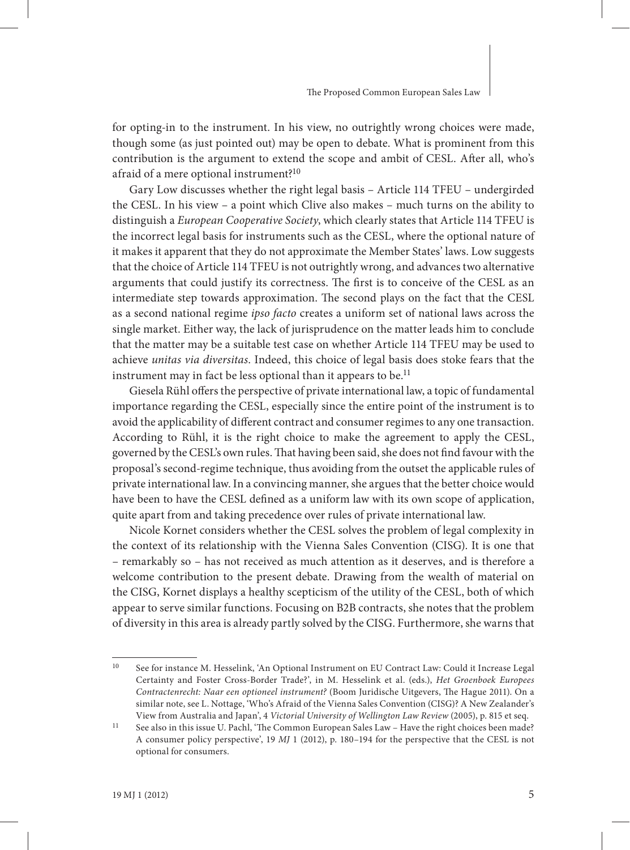for opting-in to the instrument. In his view, no outrightly wrong choices were made, though some (as just pointed out) may be open to debate. What is prominent from this contribution is the argument to extend the scope and ambit of CESL. After all, who's afraid of a mere optional instrument?10

Gary Low discusses whether the right legal basis – Article 114 TFEU – undergirded the CESL. In his view – a point which Clive also makes – much turns on the ability to distinguish a *European Cooperative Society*, which clearly states that Article 114 TFEU is the incorrect legal basis for instruments such as the CESL, where the optional nature of it makes it apparent that they do not approximate the Member States' laws. Low suggests that the choice of Article 114 TFEU is not outrightly wrong, and advances two alternative arguments that could justify its correctness. The first is to conceive of the CESL as an intermediate step towards approximation. The second plays on the fact that the CESL as a second national regime *ipso facto* creates a uniform set of national laws across the single market. Either way, the lack of jurisprudence on the matter leads him to conclude that the matter may be a suitable test case on whether Article 114 TFEU may be used to achieve *unitas via diversitas*. Indeed, this choice of legal basis does stoke fears that the instrument may in fact be less optional than it appears to be.<sup>11</sup>

Giesela Rühl offers the perspective of private international law, a topic of fundamental importance regarding the CESL, especially since the entire point of the instrument is to avoid the applicability of different contract and consumer regimes to any one transaction. According to Rühl, it is the right choice to make the agreement to apply the CESL, governed by the CESL's own rules. That having been said, she does not find favour with the proposal's second-regime technique, thus avoiding from the outset the applicable rules of private international law. In a convincing manner, she argues that the better choice would have been to have the CESL defined as a uniform law with its own scope of application, quite apart from and taking precedence over rules of private international law.

Nicole Kornet considers whether the CESL solves the problem of legal complexity in the context of its relationship with the Vienna Sales Convention (CISG). It is one that – remarkably so – has not received as much attention as it deserves, and is therefore a welcome contribution to the present debate. Drawing from the wealth of material on the CISG, Kornet displays a healthy scepticism of the utility of the CESL, both of which appear to serve similar functions. Focusing on B2B contracts, she notes that the problem of diversity in this area is already partly solved by the CISG. Furthermore, she warns that

<sup>10</sup> See for instance M. Hesselink, 'An Optional Instrument on EU Contract Law: Could it Increase Legal Certainty and Foster Cross-Border Trade?', in M. Hesselink et al. (eds.), *Het Groenboek Europees*  Contractenrecht: Naar een optioneel instrument? (Boom Juridische Uitgevers, The Hague 2011). On a similar note, see L. Nottage, 'Who's Afraid of the Vienna Sales Convention (CISG)? A New Zealander's View from Australia and Japan', 4 *Victorial University of Wellington Law Review* (2005), p. 815 et seq.

<sup>&</sup>lt;sup>11</sup> See also in this issue U. Pachl, 'The Common European Sales Law – Have the right choices been made? A consumer policy perspective', 19 *MJ* 1 (2012), p. 180–194 for the perspective that the CESL is not optional for consumers.